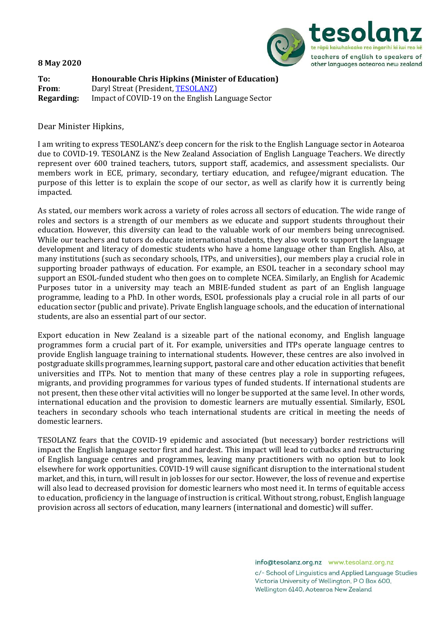**8 May 2020**



**To: Honourable Chris Hipkins (Minister of Education)**  From: Daryl Streat (President, [TESOLANZ\)](https://www.tesolanz.org.nz/) **Regarding:** Impact of COVID-19 on the English Language Sector

Dear Minister Hipkins,

I am writing to express TESOLANZ's deep concern for the risk to the English Language sector in Aotearoa due to COVID-19. TESOLANZ is the New Zealand Association of English Language Teachers. We directly represent over 600 trained teachers, tutors, support staff, academics, and assessment specialists. Our members work in ECE, primary, secondary, tertiary education, and refugee/migrant education. The purpose of this letter is to explain the scope of our sector, as well as clarify how it is currently being impacted.

As stated, our members work across a variety of roles across all sectors of education. The wide range of roles and sectors is a strength of our members as we educate and support students throughout their education. However, this diversity can lead to the valuable work of our members being unrecognised. While our teachers and tutors do educate international students, they also work to support the language development and literacy of domestic students who have a home language other than English. Also, at many institutions (such as secondary schools, ITPs, and universities), our members play a crucial role in supporting broader pathways of education. For example, an ESOL teacher in a secondary school may support an ESOL-funded student who then goes on to complete NCEA. Similarly, an English for Academic Purposes tutor in a university may teach an MBIE-funded student as part of an English language programme, leading to a PhD. In other words, ESOL professionals play a crucial role in all parts of our education sector (public and private). Private English language schools, and the education of international students, are also an essential part of our sector.

Export education in New Zealand is a sizeable part of the national economy, and English language programmes form a crucial part of it. For example, universities and ITPs operate language centres to provide English language training to international students. However, these centres are also involved in postgraduate skills programmes, learning support, pastoral care and other education activities that benefit universities and ITPs. Not to mention that many of these centres play a role in supporting refugees, migrants, and providing programmes for various types of funded students. If international students are not present, then these other vital activities will no longer be supported at the same level. In other words, international education and the provision to domestic learners are mutually essential. Similarly, ESOL teachers in secondary schools who teach international students are critical in meeting the needs of domestic learners.

TESOLANZ fears that the COVID-19 epidemic and associated (but necessary) border restrictions will impact the English language sector first and hardest. This impact will lead to cutbacks and restructuring of English language centres and programmes, leaving many practitioners with no option but to look elsewhere for work opportunities. COVID-19 will cause significant disruption to the international student market, and this, in turn, will result in job losses for our sector. However, the loss of revenue and expertise will also lead to decreased provision for domestic learners who most need it. In terms of equitable access to education, proficiency in the language of instruction is critical. Without strong, robust, English language provision across all sectors of education, many learners (international and domestic) will suffer.

c/- School of Linguistics and Applied Language Studies Victoria University of Wellington, PO Box 600, Wellington 6140, Aotearoa New Zealand